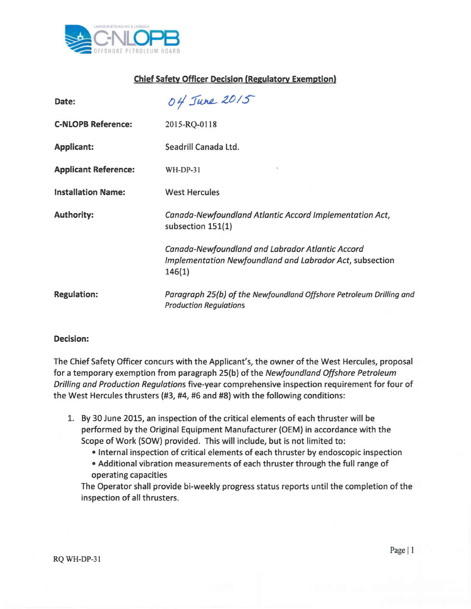

## Chief Safety Officer Decision (Regulatory Exemption)

| Date:                       | 04 June 2015                                                                                                           |
|-----------------------------|------------------------------------------------------------------------------------------------------------------------|
| <b>C-NLOPB Reference:</b>   | 2015-RQ-0118                                                                                                           |
| <b>Applicant:</b>           | Seadrill Canada Ltd.                                                                                                   |
| <b>Applicant Reference:</b> | $WH-DP-31$                                                                                                             |
| <b>Installation Name:</b>   | <b>West Hercules</b>                                                                                                   |
| <b>Authority:</b>           | Canada-Newfoundland Atlantic Accord Implementation Act,<br>subsection 151(1)                                           |
|                             | Canada-Newfoundland and Labrador Atlantic Accord<br>Implementation Newfoundland and Labrador Act, subsection<br>146(1) |
| <b>Regulation:</b>          | Paragraph 25(b) of the Newfoundland Offshore Petroleum Drilling and<br><b>Production Regulations</b>                   |

## Decision:

The Chief Safety Officer concurs with the Applicant's, the owner of the West Hercules, proposal for a temporary exemption from paragraph 25(b) ofthe *Newfoundland Offshore Petroleum Drilling and Production Regulations* five-year comprehensive inspection requirement for four of the West Hercules thrusters (#3, #4, #6 and #8) with the following conditions:

- 1. By 30 June 2015, an inspection of the critical elements of each thruster will be performed by the Original Equipment Manufacturer (OEM) in accordance with the Scope of Work (SOW) provided. This will include, but is not limited to:
	- Internal inspection of critical elements of each thruster by endoscopic inspection
	- Additional vibration measurements of each thruster through the full range of operating capacities

The Operator shall provide bi-weekly progress status reports until the completion of the inspection of all thrusters.